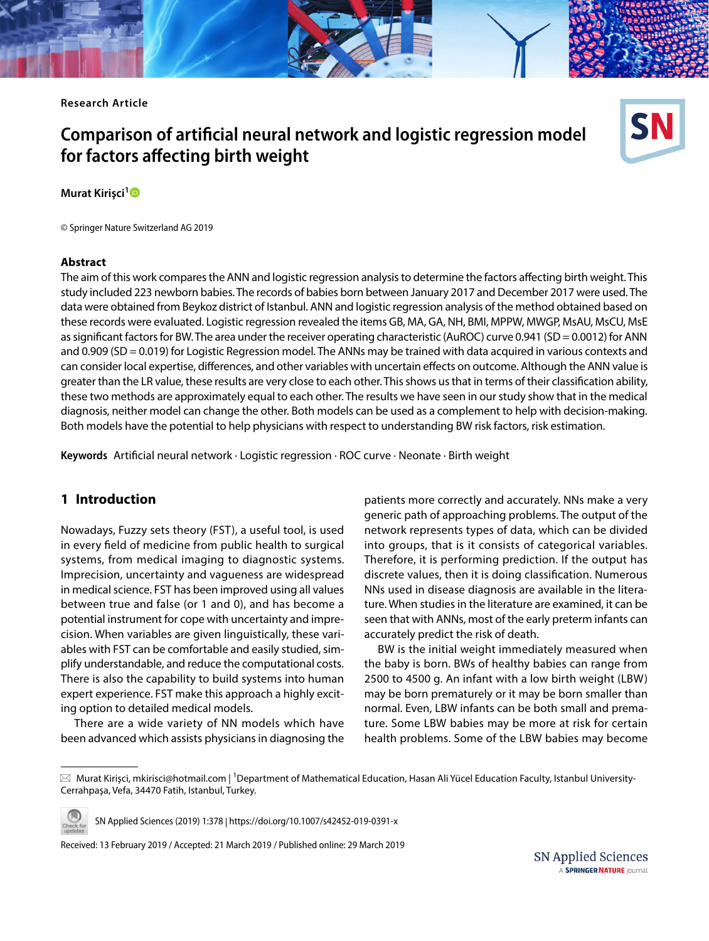**Research Article**

# **Comparison of artifcial neural network and logistic regression model for factors afecting birth weight**

**Murat Kirişci[1](http://orcid.org/0000-0003-4938-5207)**

© Springer Nature Switzerland AG 2019

#### **Abstract**

The aim of this work compares the ANN and logistic regression analysis to determine the factors afecting birth weight. This study included 223 newborn babies. The records of babies born between January 2017 and December 2017 were used. The data were obtained from Beykoz district of Istanbul. ANN and logistic regression analysis of the method obtained based on these records were evaluated. Logistic regression revealed the items GB, MA, GA, NH, BMI, MPPW, MWGP, MsAU, MsCU, MsE as significant factors for BW. The area under the receiver operating characteristic (AuROC) curve 0.941 (SD = 0.0012) for ANN and 0.909 (SD = 0.019) for Logistic Regression model. The ANNs may be trained with data acquired in various contexts and can consider local expertise, diferences, and other variables with uncertain efects on outcome. Although the ANN value is greater than the LR value, these results are very close to each other. This shows us that in terms of their classifcation ability, these two methods are approximately equal to each other. The results we have seen in our study show that in the medical diagnosis, neither model can change the other. Both models can be used as a complement to help with decision-making. Both models have the potential to help physicians with respect to understanding BW risk factors, risk estimation.

**Keywords** Artifcial neural network · Logistic regression · ROC curve · Neonate · Birth weight

# **1 Introduction**

Nowadays, Fuzzy sets theory (FST), a useful tool, is used in every feld of medicine from public health to surgical systems, from medical imaging to diagnostic systems. Imprecision, uncertainty and vagueness are widespread in medical science. FST has been improved using all values between true and false (or 1 and 0), and has become a potential instrument for cope with uncertainty and imprecision. When variables are given linguistically, these variables with FST can be comfortable and easily studied, simplify understandable, and reduce the computational costs. There is also the capability to build systems into human expert experience. FST make this approach a highly exciting option to detailed medical models.

There are a wide variety of NN models which have been advanced which assists physicians in diagnosing the

patients more correctly and accurately. NNs make a very generic path of approaching problems. The output of the network represents types of data, which can be divided into groups, that is it consists of categorical variables. Therefore, it is performing prediction. If the output has discrete values, then it is doing classifcation. Numerous NNs used in disease diagnosis are available in the literature. When studies in the literature are examined, it can be seen that with ANNs, most of the early preterm infants can accurately predict the risk of death.

BW is the initial weight immediately measured when the baby is born. BWs of healthy babies can range from 2500 to 4500 g. An infant with a low birth weight (LBW) may be born prematurely or it may be born smaller than normal. Even, LBW infants can be both small and premature. Some LBW babies may be more at risk for certain health problems. Some of the LBW babies may become

 $\boxtimes$  Murat Kirişci, mkirisci@hotmail.com | <sup>1</sup>Department of Mathematical Education, Hasan Ali Yücel Education Faculty, Istanbul University-Cerrahpaşa, Vefa, 34470 Fatih, Istanbul, Turkey.



SN Applied Sciences (2019) 1:378 | https://doi.org/10.1007/s42452-019-0391-x

Received: 13 February 2019 / Accepted: 21 March 2019 / Published online: 29 March 2019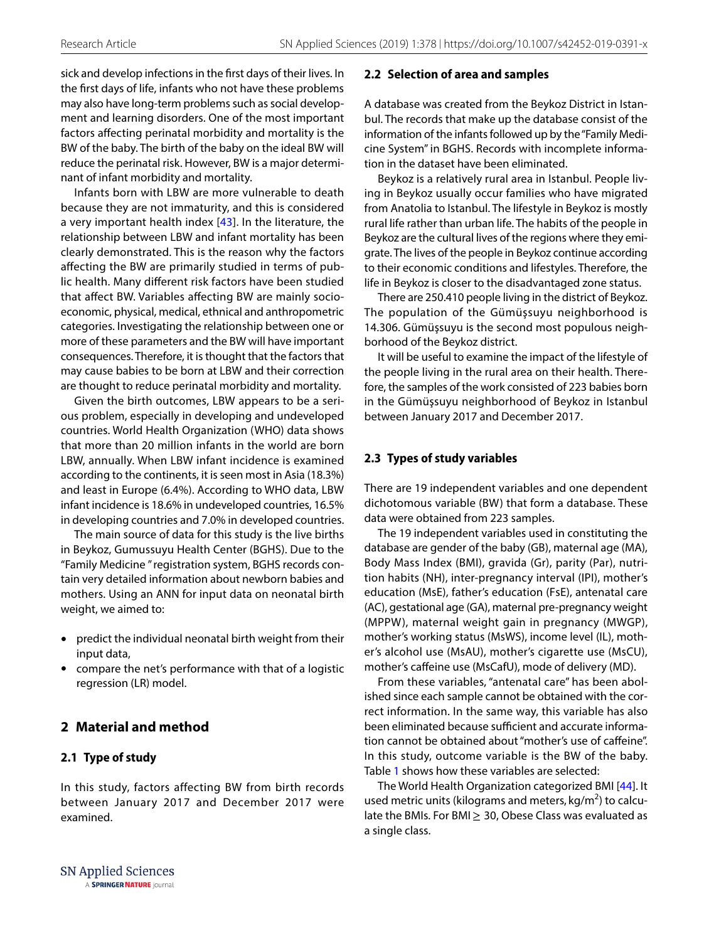sick and develop infections in the frst days of their lives. In the frst days of life, infants who not have these problems may also have long-term problems such as social development and learning disorders. One of the most important factors afecting perinatal morbidity and mortality is the BW of the baby. The birth of the baby on the ideal BW will reduce the perinatal risk. However, BW is a major determinant of infant morbidity and mortality.

Infants born with LBW are more vulnerable to death because they are not immaturity, and this is considered a very important health index  $[43]$  $[43]$ . In the literature, the relationship between LBW and infant mortality has been clearly demonstrated. This is the reason why the factors afecting the BW are primarily studied in terms of public health. Many diferent risk factors have been studied that afect BW. Variables afecting BW are mainly socioeconomic, physical, medical, ethnical and anthropometric categories. Investigating the relationship between one or more of these parameters and the BW will have important consequences. Therefore, it is thought that the factors that may cause babies to be born at LBW and their correction are thought to reduce perinatal morbidity and mortality.

Given the birth outcomes, LBW appears to be a serious problem, especially in developing and undeveloped countries. World Health Organization (WHO) data shows that more than 20 million infants in the world are born LBW, annually. When LBW infant incidence is examined according to the continents, it is seen most in Asia (18.3%) and least in Europe (6.4%). According to WHO data, LBW infant incidence is 18.6% in undeveloped countries, 16.5% in developing countries and 7.0% in developed countries.

The main source of data for this study is the live births in Beykoz, Gumussuyu Health Center (BGHS). Due to the "Family Medicine " registration system, BGHS records contain very detailed information about newborn babies and mothers. Using an ANN for input data on neonatal birth weight, we aimed to:

- predict the individual neonatal birth weight from their input data,
- compare the net's performance with that of a logistic regression (LR) model.

# **2 Material and method**

## **2.1 Type of study**

In this study, factors affecting BW from birth records between January 2017 and December 2017 were examined.

#### **2.2 Selection of area and samples**

A database was created from the Beykoz District in Istanbul. The records that make up the database consist of the information of the infants followed up by the "Family Medicine System" in BGHS. Records with incomplete information in the dataset have been eliminated.

Beykoz is a relatively rural area in Istanbul. People living in Beykoz usually occur families who have migrated from Anatolia to Istanbul. The lifestyle in Beykoz is mostly rural life rather than urban life. The habits of the people in Beykoz are the cultural lives of the regions where they emigrate. The lives of the people in Beykoz continue according to their economic conditions and lifestyles. Therefore, the life in Beykoz is closer to the disadvantaged zone status.

There are 250.410 people living in the district of Beykoz. The population of the Gümüşsuyu neighborhood is 14.306. Gümüşsuyu is the second most populous neighborhood of the Beykoz district.

It will be useful to examine the impact of the lifestyle of the people living in the rural area on their health. Therefore, the samples of the work consisted of 223 babies born in the Gümüşsuyu neighborhood of Beykoz in Istanbul between January 2017 and December 2017.

## **2.3 Types of study variables**

There are 19 independent variables and one dependent dichotomous variable (BW) that form a database. These data were obtained from 223 samples.

The 19 independent variables used in constituting the database are gender of the baby (GB), maternal age (MA), Body Mass Index (BMI), gravida (Gr), parity (Par), nutrition habits (NH), inter-pregnancy interval (IPI), mother's education (MsE), father's education (FsE), antenatal care (AC), gestational age (GA), maternal pre-pregnancy weight (MPPW), maternal weight gain in pregnancy (MWGP), mother's working status (MsWS), income level (IL), mother's alcohol use (MsAU), mother's cigarette use (MsCU), mother's caffeine use (MsCafU), mode of delivery (MD).

From these variables, "antenatal care" has been abolished since each sample cannot be obtained with the correct information. In the same way, this variable has also been eliminated because sufficient and accurate information cannot be obtained about "mother's use of cafeine". In this study, outcome variable is the BW of the baby. Table [1](#page-2-0) shows how these variables are selected:

The World Health Organization categorized BMI [[44](#page-8-1)]. It used metric units (kilograms and meters,  $kg/m<sup>2</sup>$ ) to calculate the BMIs. For BMI $\geq$  30, Obese Class was evaluated as a single class.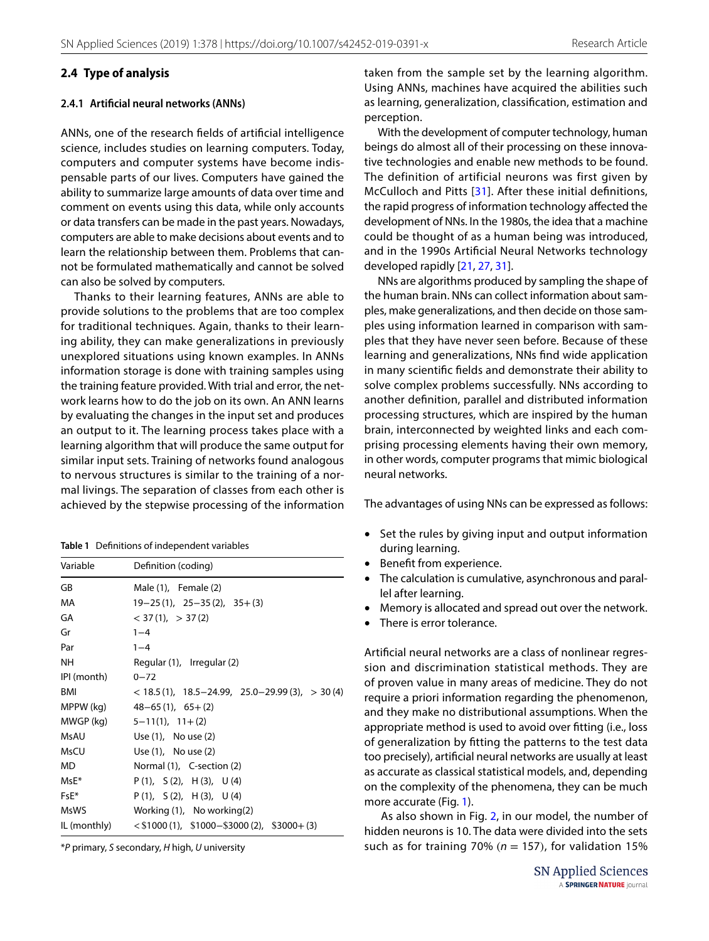### **2.4 Type of analysis**

#### **2.4.1 Artifcial neural networks (ANNs)**

ANNs, one of the research felds of artifcial intelligence science, includes studies on learning computers. Today, computers and computer systems have become indispensable parts of our lives. Computers have gained the ability to summarize large amounts of data over time and comment on events using this data, while only accounts or data transfers can be made in the past years. Nowadays, computers are able to make decisions about events and to learn the relationship between them. Problems that cannot be formulated mathematically and cannot be solved can also be solved by computers.

Thanks to their learning features, ANNs are able to provide solutions to the problems that are too complex for traditional techniques. Again, thanks to their learning ability, they can make generalizations in previously unexplored situations using known examples. In ANNs information storage is done with training samples using the training feature provided. With trial and error, the network learns how to do the job on its own. An ANN learns by evaluating the changes in the input set and produces an output to it. The learning process takes place with a learning algorithm that will produce the same output for similar input sets. Training of networks found analogous to nervous structures is similar to the training of a normal livings. The separation of classes from each other is achieved by the stepwise processing of the information

<span id="page-2-0"></span>

| Table 1 Definitions of independent variables |  |  |
|----------------------------------------------|--|--|
|                                              |  |  |

| Variable    | Definition (coding)                                         |  |  |
|-------------|-------------------------------------------------------------|--|--|
| GB          | Male $(1)$ , Female $(2)$                                   |  |  |
| MA          | $19-25(1)$ , $25-35(2)$ , $35+(3)$                          |  |  |
| GA          | $<$ 37 (1), $>$ 37 (2)                                      |  |  |
| Gr          | $1 - 4$                                                     |  |  |
| Par         | $1 - 4$                                                     |  |  |
| NΗ          | Regular (1), Irregular (2)                                  |  |  |
| IPI (month) | $0 - 72$                                                    |  |  |
| <b>BMI</b>  | $<$ 18.5 (1), 18.5 - 24.99, 25.0 - 29.99 (3), $>$ 30 (4)    |  |  |
| MPPW (kg)   | $48-65(1)$ , $65+(2)$                                       |  |  |
| MWGP (kg)   | $5-11(1)$ , $11+(2)$                                        |  |  |
| MsAU        | Use $(1)$ , No use $(2)$                                    |  |  |
| <b>MsCU</b> | Use (1), No use (2)                                         |  |  |
| <b>MD</b>   | Normal (1), C-section (2)                                   |  |  |
| $MSE*$      | $P(1)$ , $S(2)$ , $H(3)$ , $U(4)$                           |  |  |
| $FSE*$      | $P(1)$ , $S(2)$ , $H(3)$ , $U(4)$                           |  |  |
| <b>MsWS</b> | Working $(1)$ , No working $(2)$                            |  |  |
|             | $IL (monthly)$ < \$1000 (1), \$1000-\$3000 (2), \$3000+ (3) |  |  |

\**P* primary, *S* secondary, *H* high, *U* university

taken from the sample set by the learning algorithm. Using ANNs, machines have acquired the abilities such as learning, generalization, classifcation, estimation and perception.

With the development of computer technology, human beings do almost all of their processing on these innovative technologies and enable new methods to be found. The definition of artificial neurons was first given by McCulloch and Pitts [[31\]](#page-8-2). After these initial defnitions, the rapid progress of information technology afected the development of NNs. In the 1980s, the idea that a machine could be thought of as a human being was introduced, and in the 1990s Artifcial Neural Networks technology developed rapidly [\[21](#page-8-3), [27](#page-8-4), [31\]](#page-8-2).

NNs are algorithms produced by sampling the shape of the human brain. NNs can collect information about samples, make generalizations, and then decide on those samples using information learned in comparison with samples that they have never seen before. Because of these learning and generalizations, NNs fnd wide application in many scientifc felds and demonstrate their ability to solve complex problems successfully. NNs according to another defnition, parallel and distributed information processing structures, which are inspired by the human brain, interconnected by weighted links and each comprising processing elements having their own memory, in other words, computer programs that mimic biological neural networks.

The advantages of using NNs can be expressed as follows:

- Set the rules by giving input and output information during learning.
- Benefit from experience.
- The calculation is cumulative, asynchronous and parallel after learning.
- Memory is allocated and spread out over the network.
- There is error tolerance.

Artifcial neural networks are a class of nonlinear regression and discrimination statistical methods. They are of proven value in many areas of medicine. They do not require a priori information regarding the phenomenon, and they make no distributional assumptions. When the appropriate method is used to avoid over ftting (i.e., loss of generalization by ftting the patterns to the test data too precisely), artifcial neural networks are usually at least as accurate as classical statistical models, and, depending on the complexity of the phenomena, they can be much more accurate (Fig. [1](#page-3-0)).

 As also shown in Fig. [2](#page-3-1), in our model, the number of hidden neurons is 10. The data were divided into the sets such as for training 70% ( $n = 157$ ), for validation 15%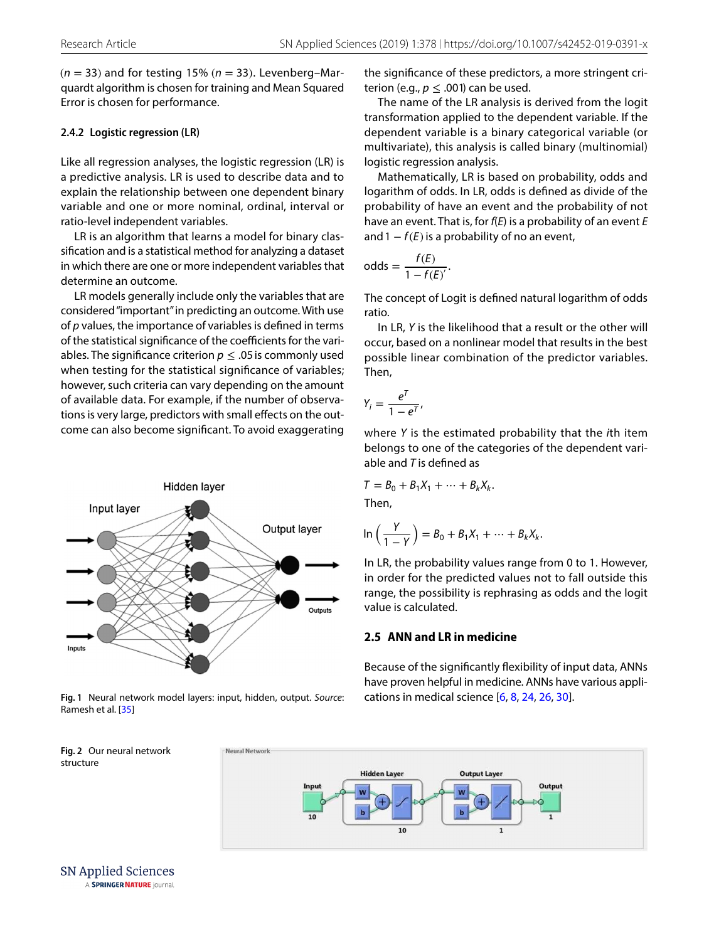$(n = 33)$  and for testing 15%  $(n = 33)$ . Levenberg-Marquardt algorithm is chosen for training and Mean Squared Error is chosen for performance.

#### **2.4.2 Logistic regression (LR)**

Like all regression analyses, the logistic regression (LR) is a predictive analysis. LR is used to describe data and to explain the relationship between one dependent binary variable and one or more nominal, ordinal, interval or ratio-level independent variables.

LR is an algorithm that learns a model for binary classifcation and is a statistical method for analyzing a dataset in which there are one or more independent variables that determine an outcome.

LR models generally include only the variables that are considered "important" in predicting an outcome. With use of *p* values, the importance of variables is defned in terms of the statistical significance of the coefficients for the variables. The significance criterion  $p \leq 0.05$  is commonly used when testing for the statistical significance of variables; however, such criteria can vary depending on the amount of available data. For example, if the number of observations is very large, predictors with small effects on the outcome can also become signifcant. To avoid exaggerating



<span id="page-3-0"></span>**Fig. 1** Neural network model layers: input, hidden, output. *Source*: Ramesh et al. [[35\]](#page-8-10)

the signifcance of these predictors, a more stringent criterion (e.g.,  $p \leq .001$ ) can be used.

The name of the LR analysis is derived from the logit transformation applied to the dependent variable. If the dependent variable is a binary categorical variable (or multivariate), this analysis is called binary (multinomial) logistic regression analysis.

Mathematically, LR is based on probability, odds and logarithm of odds. In LR, odds is defned as divide of the probability of have an event and the probability of not have an event. That is, for *f*(*E*) is a probability of an event *E* and  $1 - f(E)$  is a probability of no an event,

odds = 
$$
\frac{f(E)}{1 - f(E)}.
$$

The concept of Logit is defned natural logarithm of odds ratio.

In LR, *Y* is the likelihood that a result or the other will occur, based on a nonlinear model that results in the best possible linear combination of the predictor variables. Then,

$$
Y_i = \frac{e^T}{1 - e^T},
$$

where *Y* is the estimated probability that the *i*th item belongs to one of the categories of the dependent variable and *T* is defned as

$$
T = B_0 + B_1 X_1 + \dots + B_k X_k.
$$

Then,

$$
\ln\left(\frac{Y}{1-Y}\right) = B_0 + B_1X_1 + \dots + B_kX_k.
$$

In LR, the probability values range from 0 to 1. However, in order for the predicted values not to fall outside this range, the possibility is rephrasing as odds and the logit value is calculated.

### **2.5 ANN and LR in medicine**

Because of the signifcantly fexibility of input data, ANNs have proven helpful in medicine. ANNs have various applications in medical science [[6,](#page-8-5) [8](#page-8-6), [24,](#page-8-7) [26](#page-8-8), [30\]](#page-8-9).

<span id="page-3-1"></span>

**SN Applied Sciences** A SPRINGER NATURE journal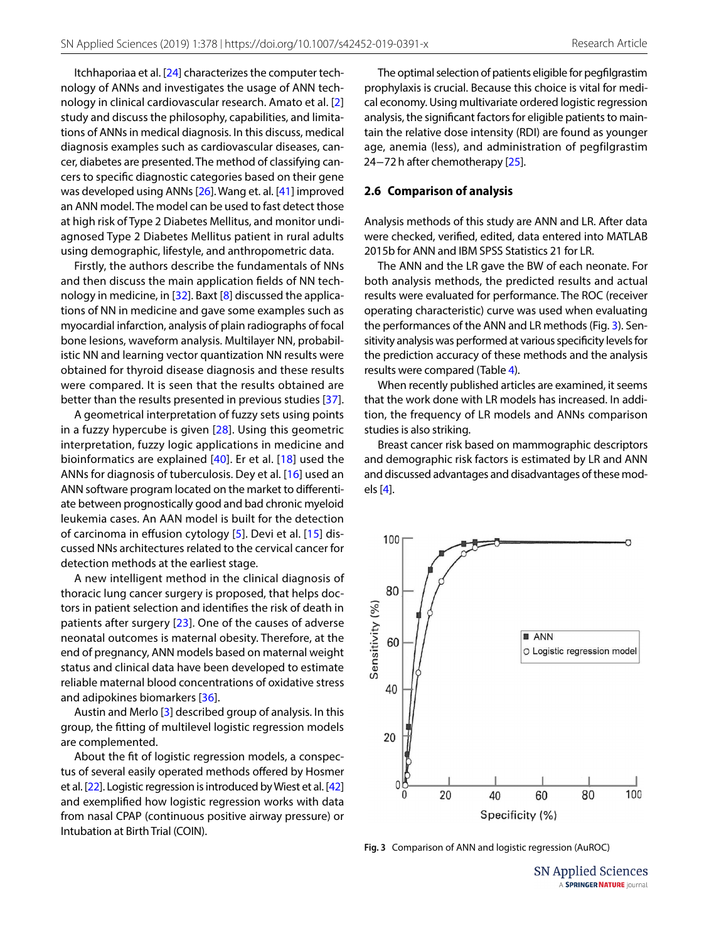Itchhaporiaa et al. [[24\]](#page-8-7) characterizes the computer technology of ANNs and investigates the usage of ANN technology in clinical cardiovascular research. Amato et al. [[2](#page-7-0)] study and discuss the philosophy, capabilities, and limitations of ANNs in medical diagnosis. In this discuss, medical diagnosis examples such as cardiovascular diseases, cancer, diabetes are presented. The method of classifying cancers to specifc diagnostic categories based on their gene was developed using ANNs [[26\]](#page-8-8). Wang et. al. [\[41\]](#page-8-11) improved an ANN model. The model can be used to fast detect those at high risk of Type 2 Diabetes Mellitus, and monitor undiagnosed Type 2 Diabetes Mellitus patient in rural adults using demographic, lifestyle, and anthropometric data.

Firstly, the authors describe the fundamentals of NNs and then discuss the main application felds of NN technology in medicine, in  $[32]$ . Baxt  $[8]$  $[8]$  discussed the applications of NN in medicine and gave some examples such as myocardial infarction, analysis of plain radiographs of focal bone lesions, waveform analysis. Multilayer NN, probabilistic NN and learning vector quantization NN results were obtained for thyroid disease diagnosis and these results were compared. It is seen that the results obtained are better than the results presented in previous studies [[37](#page-8-13)].

A geometrical interpretation of fuzzy sets using points in a fuzzy hypercube is given [[28\]](#page-8-14). Using this geometric interpretation, fuzzy logic applications in medicine and bioinformatics are explained [[40](#page-8-15)]. Er et al. [[18](#page-8-16)] used the ANNs for diagnosis of tuberculosis. Dey et al. [\[16\]](#page-8-17) used an ANN software program located on the market to diferentiate between prognostically good and bad chronic myeloid leukemia cases. An AAN model is built for the detection of carcinoma in effusion cytology [[5](#page-8-18)]. Devi et al. [[15\]](#page-8-19) discussed NNs architectures related to the cervical cancer for detection methods at the earliest stage.

A new intelligent method in the clinical diagnosis of thoracic lung cancer surgery is proposed, that helps doctors in patient selection and identifes the risk of death in patients after surgery [\[23\]](#page-8-20). One of the causes of adverse neonatal outcomes is maternal obesity. Therefore, at the end of pregnancy, ANN models based on maternal weight status and clinical data have been developed to estimate reliable maternal blood concentrations of oxidative stress and adipokines biomarkers [[36\]](#page-8-21).

Austin and Merlo [[3\]](#page-7-1) described group of analysis. In this group, the ftting of multilevel logistic regression models are complemented.

About the ft of logistic regression models, a conspectus of several easily operated methods ofered by Hosmer et al. [[22\]](#page-8-22). Logistic regression is introduced by Wiest et al. [\[42](#page-8-23)] and exemplifed how logistic regression works with data from nasal CPAP (continuous positive airway pressure) or Intubation at Birth Trial (COIN).

The optimal selection of patients eligible for pegflgrastim prophylaxis is crucial. Because this choice is vital for medical economy. Using multivariate ordered logistic regression analysis, the signifcant factors for eligible patients to maintain the relative dose intensity (RDI) are found as younger age, anemia (less), and administration of pegfilgrastim 24−72 h after chemotherapy [\[25](#page-8-24)].

#### **2.6 Comparison of analysis**

Analysis methods of this study are ANN and LR. After data were checked, verifed, edited, data entered into MATLAB 2015b for ANN and IBM SPSS Statistics 21 for LR.

The ANN and the LR gave the BW of each neonate. For both analysis methods, the predicted results and actual results were evaluated for performance. The ROC (receiver operating characteristic) curve was used when evaluating the performances of the ANN and LR methods (Fig. [3](#page-4-0)). Sensitivity analysis was performed at various specifcity levels for the prediction accuracy of these methods and the analysis results were compared (Table [4](#page-6-0)).

When recently published articles are examined, it seems that the work done with LR models has increased. In addition, the frequency of LR models and ANNs comparison studies is also striking.

Breast cancer risk based on mammographic descriptors and demographic risk factors is estimated by LR and ANN and discussed advantages and disadvantages of these models [[4\]](#page-7-2).



<span id="page-4-0"></span>**Fig. 3** Comparison of ANN and logistic regression (AuROC)

**SN Applied Sciences** A SPRINGER NATURE journal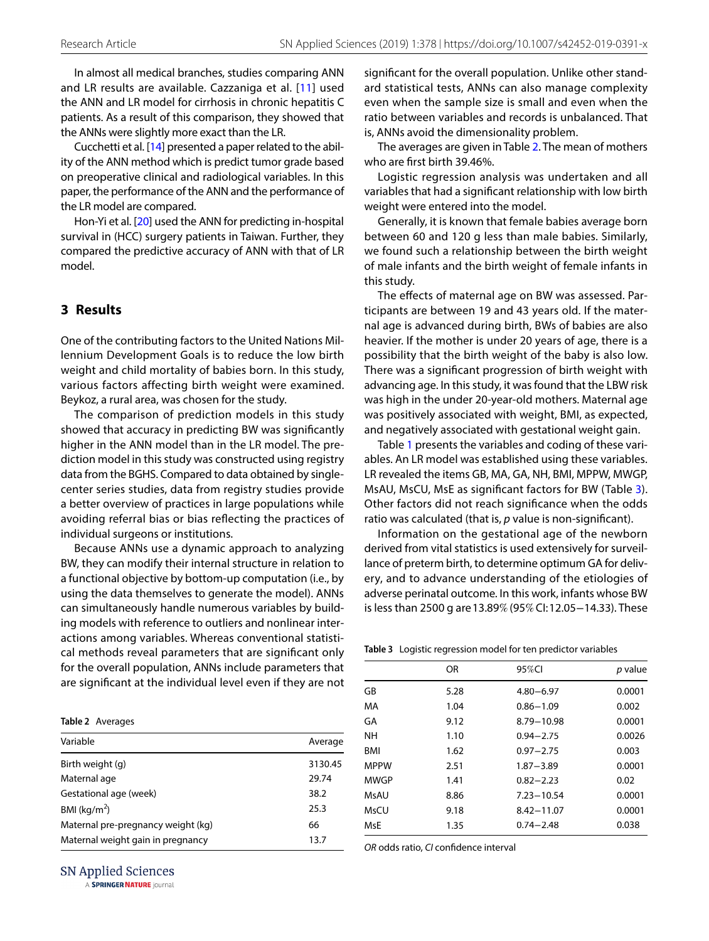In almost all medical branches, studies comparing ANN and LR results are available. Cazzaniga et al. [[11](#page-8-25)] used the ANN and LR model for cirrhosis in chronic hepatitis C patients. As a result of this comparison, they showed that the ANNs were slightly more exact than the LR.

Cucchetti et al. [[14\]](#page-8-26) presented a paper related to the ability of the ANN method which is predict tumor grade based on preoperative clinical and radiological variables. In this paper, the performance of the ANN and the performance of the LR model are compared.

Hon-Yi et al. [\[20](#page-8-27)] used the ANN for predicting in-hospital survival in (HCC) surgery patients in Taiwan. Further, they compared the predictive accuracy of ANN with that of LR model.

# **3 Results**

One of the contributing factors to the United Nations Millennium Development Goals is to reduce the low birth weight and child mortality of babies born. In this study, various factors affecting birth weight were examined. Beykoz, a rural area, was chosen for the study.

The comparison of prediction models in this study showed that accuracy in predicting BW was signifcantly higher in the ANN model than in the LR model. The prediction model in this study was constructed using registry data from the BGHS. Compared to data obtained by singlecenter series studies, data from registry studies provide a better overview of practices in large populations while avoiding referral bias or bias refecting the practices of individual surgeons or institutions.

Because ANNs use a dynamic approach to analyzing BW, they can modify their internal structure in relation to a functional objective by bottom-up computation (i.e., by using the data themselves to generate the model). ANNs can simultaneously handle numerous variables by building models with reference to outliers and nonlinear interactions among variables. Whereas conventional statistical methods reveal parameters that are signifcant only for the overall population, ANNs include parameters that are signifcant at the individual level even if they are not

<span id="page-5-0"></span>

|  | Table 2 Averages |
|--|------------------|
|--|------------------|

| Variable                           | Average |
|------------------------------------|---------|
| Birth weight (g)                   | 3130.45 |
| Maternal age                       | 29.74   |
| Gestational age (week)             | 38.2    |
| BMI ( $kg/m2$ )                    | 25.3    |
| Maternal pre-pregnancy weight (kg) | 66      |
| Maternal weight gain in pregnancy  | 13.7    |

**SN Applied Sciences** 

A SPRINGER NATURE journal

signifcant for the overall population. Unlike other standard statistical tests, ANNs can also manage complexity even when the sample size is small and even when the ratio between variables and records is unbalanced. That is, ANNs avoid the dimensionality problem.

The averages are given in Table [2](#page-5-0). The mean of mothers who are frst birth 39.46%.

Logistic regression analysis was undertaken and all variables that had a signifcant relationship with low birth weight were entered into the model.

Generally, it is known that female babies average born between 60 and 120 g less than male babies. Similarly, we found such a relationship between the birth weight of male infants and the birth weight of female infants in this study.

The effects of maternal age on BW was assessed. Participants are between 19 and 43 years old. If the maternal age is advanced during birth, BWs of babies are also heavier. If the mother is under 20 years of age, there is a possibility that the birth weight of the baby is also low. There was a signifcant progression of birth weight with advancing age. In this study, it was found that the LBW risk was high in the under 20-year-old mothers. Maternal age was positively associated with weight, BMI, as expected, and negatively associated with gestational weight gain.

Table [1](#page-2-0) presents the variables and coding of these variables. An LR model was established using these variables. LR revealed the items GB, MA, GA, NH, BMI, MPPW, MWGP, MsAU, MsCU, MsE as signifcant factors for BW (Table [3](#page-5-1)). Other factors did not reach signifcance when the odds ratio was calculated (that is, *p* value is non-signifcant).

Information on the gestational age of the newborn derived from vital statistics is used extensively for surveillance of preterm birth, to determine optimum GA for delivery, and to advance understanding of the etiologies of adverse perinatal outcome. In this work, infants whose BW is less than 2500 g are 13.89% (95% CI: 12.05−14.33). These

<span id="page-5-1"></span>**Table 3** Logistic regression model for ten predictor variables

| p value<br>0.0001<br>$4.80 - 6.97$<br>0.002<br>$0.86 - 1.09$ |
|--------------------------------------------------------------|
|                                                              |
|                                                              |
|                                                              |
| 0.0001<br>8.79-10.98                                         |
| 0.0026<br>$0.94 - 2.75$                                      |
| 0.003<br>$0.97 - 2.75$                                       |
| 0.0001                                                       |
| 0.02                                                         |
| 0.0001<br>$7.23 - 10.54$                                     |
| 0.0001<br>$8.42 - 11.07$                                     |
| 0.038<br>$0.74 - 2.48$                                       |
|                                                              |

*OR* odds ratio, *CI* confdence interval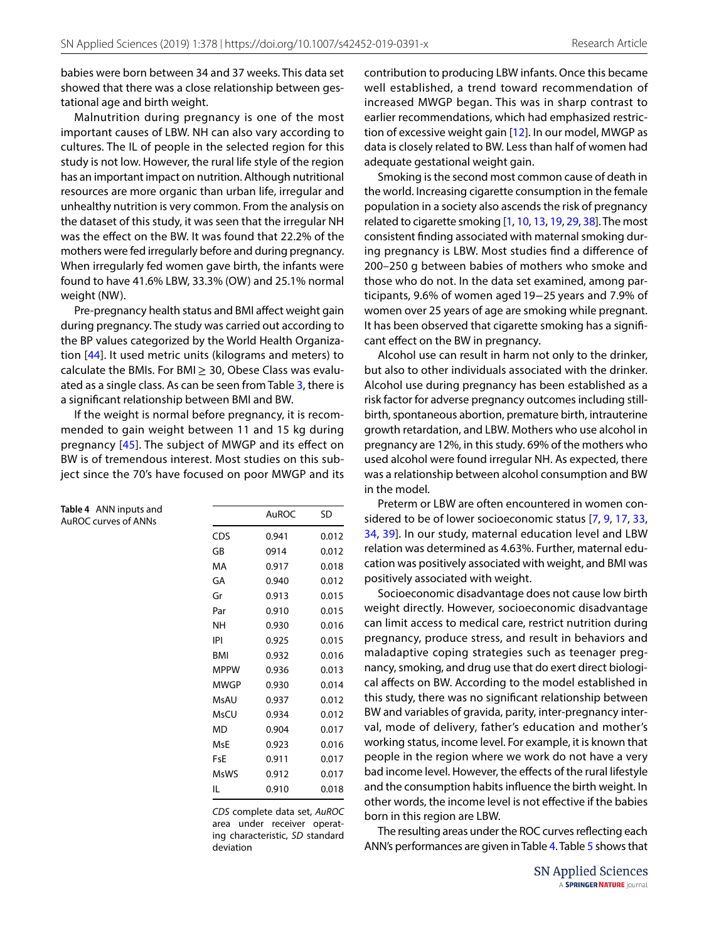babies were born between 34 and 37 weeks. This data set showed that there was a close relationship between gestational age and birth weight.

Malnutrition during pregnancy is one of the most important causes of LBW. NH can also vary according to cultures. The IL of people in the selected region for this study is not low. However, the rural life style of the region has an important impact on nutrition. Although nutritional resources are more organic than urban life, irregular and unhealthy nutrition is very common. From the analysis on the dataset of this study, it was seen that the irregular NH was the efect on the BW. It was found that 22.2% of the mothers were fed irregularly before and during pregnancy. When irregularly fed women gave birth, the infants were found to have 41.6% LBW, 33.3% (OW) and 25.1% normal weight (NW).

Pre-pregnancy health status and BMI afect weight gain during pregnancy. The study was carried out according to the BP values categorized by the World Health Organization [[44](#page-8-1)]. It used metric units (kilograms and meters) to calculate the BMIs. For BMI $\geq$  30, Obese Class was evaluated as a single class. As can be seen from Table [3,](#page-5-1) there is a signifcant relationship between BMI and BW.

If the weight is normal before pregnancy, it is recommended to gain weight between 11 and 15 kg during pregnancy [[45\]](#page-8-28). The subject of MWGP and its efect on BW is of tremendous interest. Most studies on this subject since the 70's have focused on poor MWGP and its

<span id="page-6-0"></span>**Table 4** ANN inputs and AuROC curves of ANNs

|      | AuROC | SD    |
|------|-------|-------|
| CDS  | 0.941 | 0.012 |
| GB   | 0914  | 0.012 |
| МA   | 0.917 | 0.018 |
| GA   | 0.940 | 0.012 |
| Gr   | 0.913 | 0.015 |
| Par  | 0.910 | 0.015 |
| NΗ   | 0.930 | 0.016 |
| IPI  | 0.925 | 0.015 |
| BMI  | 0.932 | 0.016 |
| MPPW | 0.936 | 0.013 |
| MWGP | 0.930 | 0.014 |
| MsAU | 0.937 | 0.012 |
| MsCU | 0.934 | 0.012 |
| MD   | 0.904 | 0.017 |
| MsE  | 0.923 | 0.016 |
| FsF  | 0.911 | 0.017 |
| MsWS | 0.912 | 0.017 |
| IL   | 0.910 | 0.018 |

*CDS* complete data set, *AuROC* area under receiver operating characteristic, *SD* standard deviation

contribution to producing LBW infants. Once this became well established, a trend toward recommendation of increased MWGP began. This was in sharp contrast to earlier recommendations, which had emphasized restriction of excessive weight gain [[12](#page-8-29)]. In our model, MWGP as data is closely related to BW. Less than half of women had adequate gestational weight gain.

Smoking is the second most common cause of death in the world. Increasing cigarette consumption in the female population in a society also ascends the risk of pregnancy related to cigarette smoking [\[1](#page-7-3), [10](#page-8-30), [13](#page-8-31), [19](#page-8-32), [29](#page-8-33), [38](#page-8-34)]. The most consistent fnding associated with maternal smoking during pregnancy is LBW. Most studies fnd a diference of 200–250 g between babies of mothers who smoke and those who do not. In the data set examined, among participants, 9.6% of women aged 19−25 years and 7.9% of women over 25 years of age are smoking while pregnant. It has been observed that cigarette smoking has a signifcant efect on the BW in pregnancy.

Alcohol use can result in harm not only to the drinker, but also to other individuals associated with the drinker. Alcohol use during pregnancy has been established as a risk factor for adverse pregnancy outcomes including stillbirth, spontaneous abortion, premature birth, intrauterine growth retardation, and LBW. Mothers who use alcohol in pregnancy are 12%, in this study. 69% of the mothers who used alcohol were found irregular NH. As expected, there was a relationship between alcohol consumption and BW in the model.

Preterm or LBW are often encountered in women considered to be of lower socioeconomic status [[7,](#page-8-35) [9](#page-8-36), [17](#page-8-37), [33](#page-8-38), [34,](#page-8-39) [39](#page-8-40)]. In our study, maternal education level and LBW relation was determined as 4.63%. Further, maternal education was positively associated with weight, and BMI was positively associated with weight.

Socioeconomic disadvantage does not cause low birth weight directly. However, socioeconomic disadvantage can limit access to medical care, restrict nutrition during pregnancy, produce stress, and result in behaviors and maladaptive coping strategies such as teenager pregnancy, smoking, and drug use that do exert direct biological afects on BW. According to the model established in this study, there was no signifcant relationship between BW and variables of gravida, parity, inter-pregnancy interval, mode of delivery, father's education and mother's working status, income level. For example, it is known that people in the region where we work do not have a very bad income level. However, the efects of the rural lifestyle and the consumption habits infuence the birth weight. In other words, the income level is not efective if the babies born in this region are LBW.

The resulting areas under the ROC curves refecting each ANN's performances are given in Table [4.](#page-6-0) Table [5](#page-7-4) shows that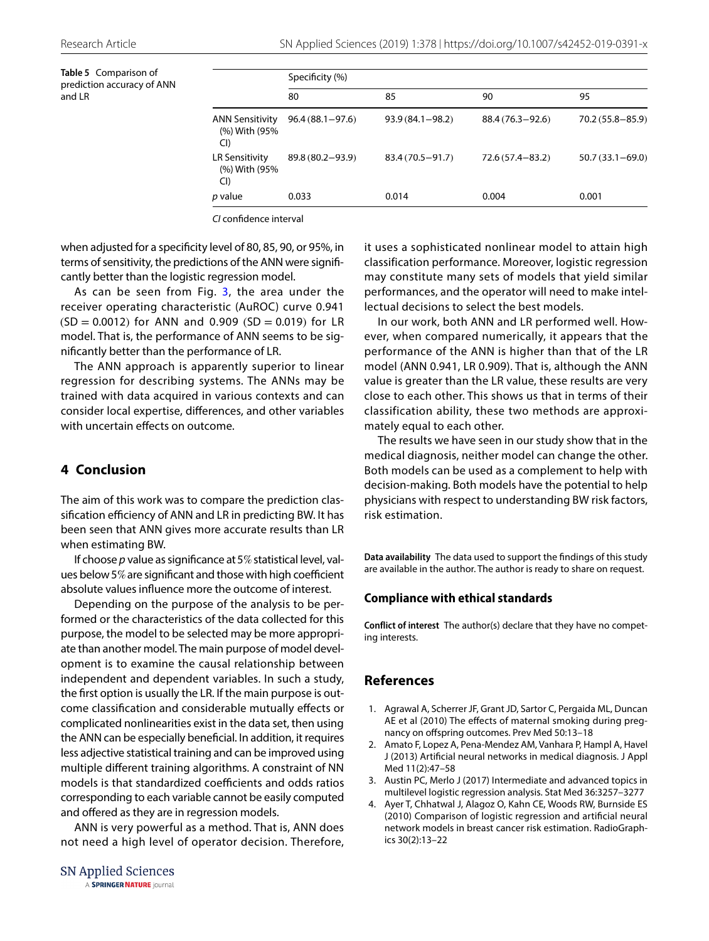<span id="page-7-4"></span>**Table 5** Comparison of prediction accuracy of ANN and LR

|                                        | Specificity (%)     |                     |                     |                     |  |
|----------------------------------------|---------------------|---------------------|---------------------|---------------------|--|
|                                        | 80                  | 85                  | 90                  | 95                  |  |
| ANN Sensitivity<br>(%) With (95%<br>Cl | $96.4(88.1 - 97.6)$ | $93.9(84.1 - 98.2)$ | $88.4(76.3 - 92.6)$ | $70.2(55.8 - 85.9)$ |  |
| LR Sensitivity<br>(%) With (95%<br>CI) | 89.8 (80.2-93.9)    | $83.4(70.5 - 91.7)$ | $72.6(57.4 - 83.2)$ | $50.7(33.1 - 69.0)$ |  |
| <i>p</i> value                         | 0.033               | 0.014               | 0.004               | 0.001               |  |

*CI* confdence interval

when adjusted for a specificity level of 80, 85, 90, or 95%, in terms of sensitivity, the predictions of the ANN were signifcantly better than the logistic regression model.

As can be seen from Fig. [3](#page-4-0), the area under the receiver operating characteristic (AuROC) curve 0.941  $(SD = 0.0012)$  for ANN and 0.909  $(SD = 0.019)$  for LR model. That is, the performance of ANN seems to be signifcantly better than the performance of LR.

The ANN approach is apparently superior to linear regression for describing systems. The ANNs may be trained with data acquired in various contexts and can consider local expertise, diferences, and other variables with uncertain effects on outcome.

# **4 Conclusion**

The aim of this work was to compare the prediction classification efficiency of ANN and LR in predicting BW. It has been seen that ANN gives more accurate results than LR when estimating BW.

If choose *p* value as signifcance at 5% statistical level, values below 5% are significant and those with high coefficient absolute values infuence more the outcome of interest.

Depending on the purpose of the analysis to be performed or the characteristics of the data collected for this purpose, the model to be selected may be more appropriate than another model. The main purpose of model development is to examine the causal relationship between independent and dependent variables. In such a study, the frst option is usually the LR. If the main purpose is outcome classifcation and considerable mutually efects or complicated nonlinearities exist in the data set, then using the ANN can be especially benefcial. In addition, it requires less adjective statistical training and can be improved using multiple diferent training algorithms. A constraint of NN models is that standardized coefficients and odds ratios corresponding to each variable cannot be easily computed and offered as they are in regression models.

ANN is very powerful as a method. That is, ANN does not need a high level of operator decision. Therefore, it uses a sophisticated nonlinear model to attain high classification performance. Moreover, logistic regression may constitute many sets of models that yield similar performances, and the operator will need to make intellectual decisions to select the best models.

In our work, both ANN and LR performed well. However, when compared numerically, it appears that the performance of the ANN is higher than that of the LR model (ANN 0.941, LR 0.909). That is, although the ANN value is greater than the LR value, these results are very close to each other. This shows us that in terms of their classification ability, these two methods are approximately equal to each other.

The results we have seen in our study show that in the medical diagnosis, neither model can change the other. Both models can be used as a complement to help with decision-making. Both models have the potential to help physicians with respect to understanding BW risk factors, risk estimation.

**Data availability** The data used to support the fndings of this study are available in the author. The author is ready to share on request.

## **Compliance with ethical standards**

**Conflict of interest** The author(s) declare that they have no competing interests.

# **References**

- <span id="page-7-3"></span>1. Agrawal A, Scherrer JF, Grant JD, Sartor C, Pergaida ML, Duncan AE et al (2010) The effects of maternal smoking during pregnancy on ofspring outcomes. Prev Med 50:13–18
- <span id="page-7-0"></span>2. Amato F, Lopez A, Pena-Mendez AM, Vanhara P, Hampl A, Havel J (2013) Artifcial neural networks in medical diagnosis. J Appl Med 11(2):47–58
- <span id="page-7-1"></span>3. Austin PC, Merlo J (2017) Intermediate and advanced topics in multilevel logistic regression analysis. Stat Med 36:3257–3277
- <span id="page-7-2"></span>4. Ayer T, Chhatwal J, Alagoz O, Kahn CE, Woods RW, Burnside ES (2010) Comparison of logistic regression and artifcial neural network models in breast cancer risk estimation. RadioGraphics 30(2):13–22